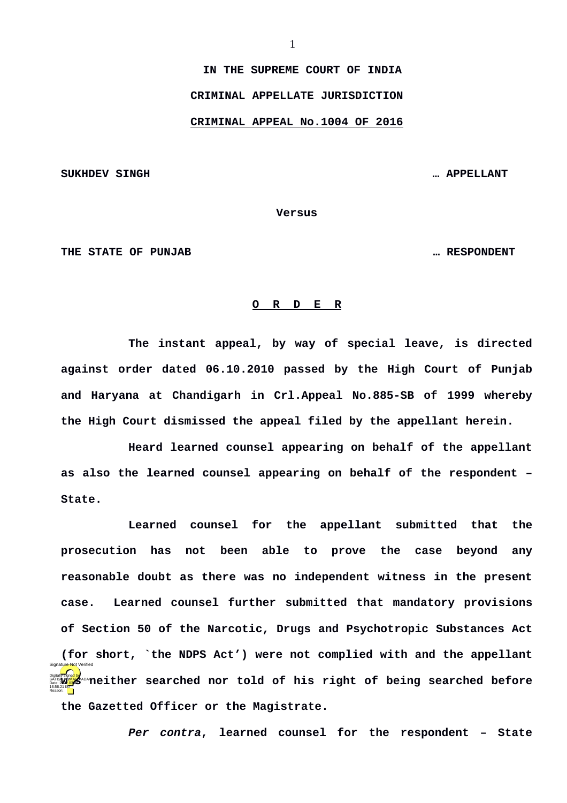**IN THE SUPREME COURT OF INDIA**

## **CRIMINAL APPELLATE JURISDICTION**

## **CRIMINAL APPEAL No.1004 OF 2016**

**SUKHDEV SINGH … APPELLANT** 

**Versus**

**THE STATE OF PUNJAB … RESPONDENT**

## **O R D E R**

**The instant appeal, by way of special leave, is directed against order dated 06.10.2010 passed by the High Court of Punjab and Haryana at Chandigarh in Crl.Appeal No.885-SB of 1999 whereby the High Court dismissed the appeal filed by the appellant herein.**

**Heard learned counsel appearing on behalf of the appellant as also the learned counsel appearing on behalf of the respondent – State.**

**Learned counsel for the appellant submitted that the prosecution has not been able to prove the case beyond any reasonable doubt as there was no independent witness in the present case. Learned counsel further submitted that mandatory provisions of Section 50 of the Narcotic, Drugs and Psychotropic Substances Act (for short, `the NDPS Act') were not complied with and the appellant was neither searched nor told of his right of being searched before the Gazetted Officer or the Magistrate.** 16:56:21 IST Reason: Signature Not Verified

*Per contra***, learned counsel for the respondent – State**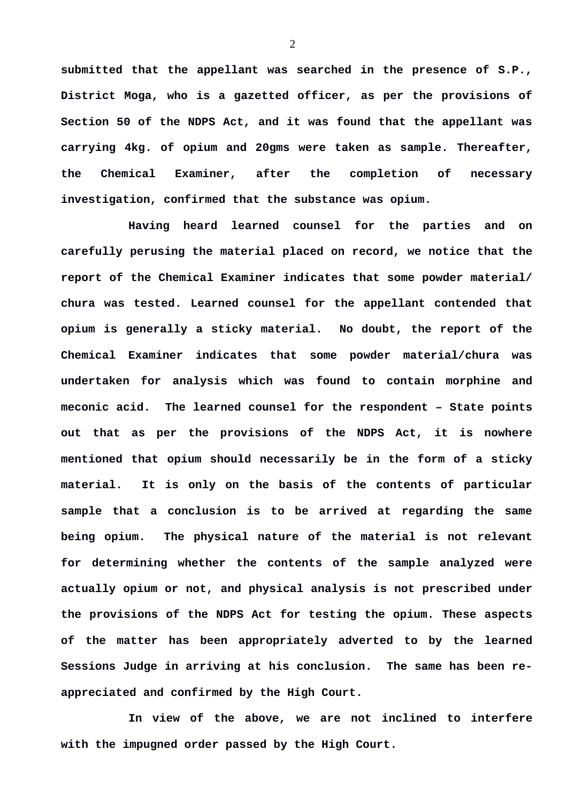**submitted that the appellant was searched in the presence of S.P., District Moga, who is a gazetted officer, as per the provisions of Section 50 of the NDPS Act, and it was found that the appellant was carrying 4kg. of opium and 20gms were taken as sample. Thereafter, the Chemical Examiner, after the completion of necessary investigation, confirmed that the substance was opium.**

**Having heard learned counsel for the parties and on carefully perusing the material placed on record, we notice that the report of the Chemical Examiner indicates that some powder material/ chura was tested. Learned counsel for the appellant contended that opium is generally a sticky material. No doubt, the report of the Chemical Examiner indicates that some powder material/chura was undertaken for analysis which was found to contain morphine and meconic acid. The learned counsel for the respondent – State points out that as per the provisions of the NDPS Act, it is nowhere mentioned that opium should necessarily be in the form of a sticky material. It is only on the basis of the contents of particular sample that a conclusion is to be arrived at regarding the same being opium. The physical nature of the material is not relevant for determining whether the contents of the sample analyzed were actually opium or not, and physical analysis is not prescribed under the provisions of the NDPS Act for testing the opium. These aspects of the matter has been appropriately adverted to by the learned Sessions Judge in arriving at his conclusion. The same has been reappreciated and confirmed by the High Court.**

**In view of the above, we are not inclined to interfere with the impugned order passed by the High Court.**

2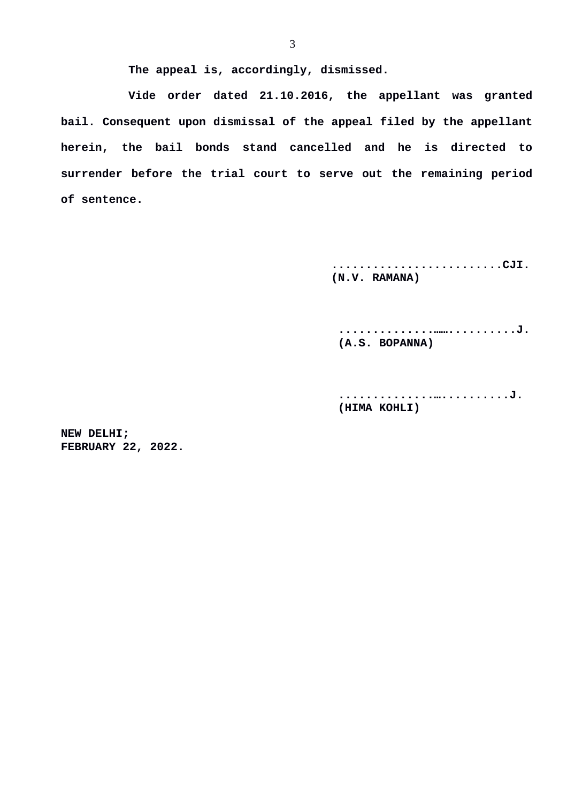**The appeal is, accordingly, dismissed.**

**Vide order dated 21.10.2016, the appellant was granted bail. Consequent upon dismissal of the appeal filed by the appellant herein, the bail bonds stand cancelled and he is directed to surrender before the trial court to serve out the remaining period of sentence.**

> **.........................CJI. (N.V. RAMANA)**

 **..............……..........J. (A.S. BOPANNA)**

 **..............…..........J. (HIMA KOHLI)**

**NEW DELHI; FEBRUARY 22, 2022.**